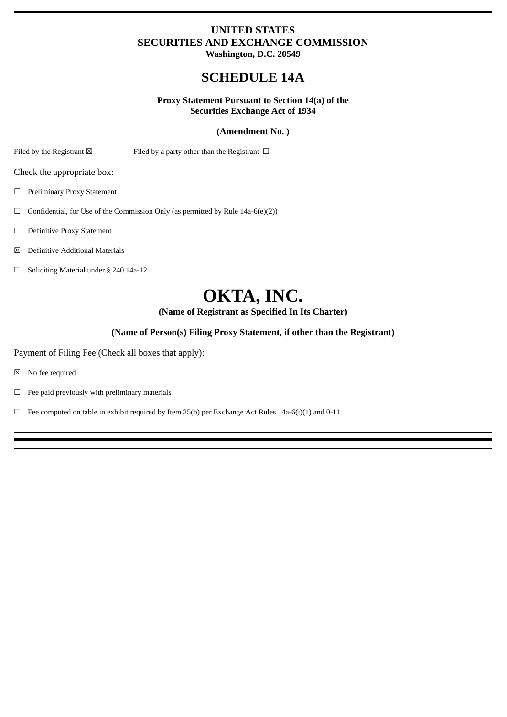## **UNITED STATES SECURITIES AND EXCHANGE COMMISSION Washington, D.C. 20549**

# **SCHEDULE 14A**

### **Proxy Statement Pursuant to Section 14(a) of the Securities Exchange Act of 1934**

### **(Amendment No. )**

Filed by the Registrant  $\boxtimes$  Filed by a party other than the Registrant  $\Box$ 

Check the appropriate box:

☐ Preliminary Proxy Statement

 $\Box$  Confidential, for Use of the Commission Only (as permitted by Rule 14a-6(e)(2))

☐ Definitive Proxy Statement

☒ Definitive Additional Materials

☐ Soliciting Material under § 240.14a-12

# **OKTA, INC.**

**(Name of Registrant as Specified In Its Charter)**

### **(Name of Person(s) Filing Proxy Statement, if other than the Registrant)**

Payment of Filing Fee (Check all boxes that apply):

☒ No fee required

 $\Box$  Fee paid previously with preliminary materials

 $\Box$  Fee computed on table in exhibit required by Item 25(b) per Exchange Act Rules 14a-6(i)(1) and 0-11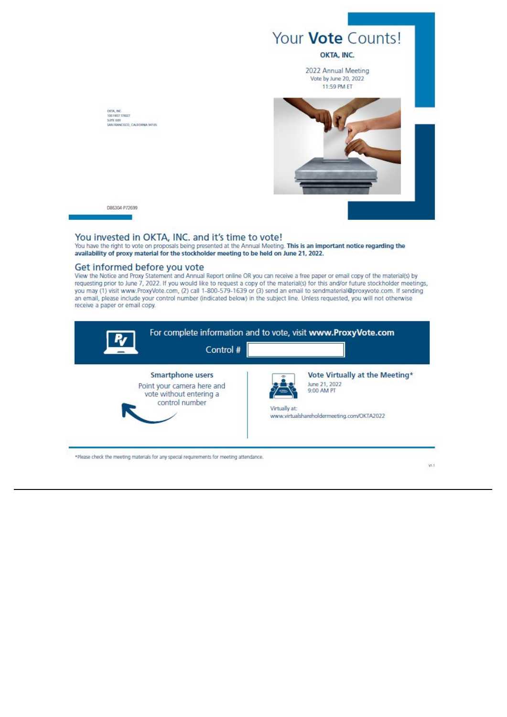

DB6304-P72699

chour, inc.<br>100 first street<br>Sante 600<br>Santrarkesco, Calegrana satos

### You invested in OKTA, INC. and it's time to vote!

You have the right to vote on proposals being presented at the Annual Meeting. This is an important notice regarding the availability of proxy material for the stockholder meeting to be held on June 21, 2022.

### Get informed before you vote

View the Notice and Proxy Statement and Annual Report online OR you can receive a free paper or email copy of the material(s) by<br>requesting prior to June 7, 2022. If you would like to request a copy of the material(s) for an email, please include your control number (indicated below) in the subject line. Unless requested, you will not otherwise receive a paper or email copy.

| Control #                                                                                          | For complete information and to vote, visit www.ProxyVote.com                                                                |
|----------------------------------------------------------------------------------------------------|------------------------------------------------------------------------------------------------------------------------------|
| <b>Smartphone users</b><br>Point your camera here and<br>vote without entering a<br>control number | Vote Virtually at the Meeting*<br>June 21, 2022<br>9:00 AM PT<br>Virtually at:<br>www.virtualshareholdermeeting.com/OKTA2022 |

VL1